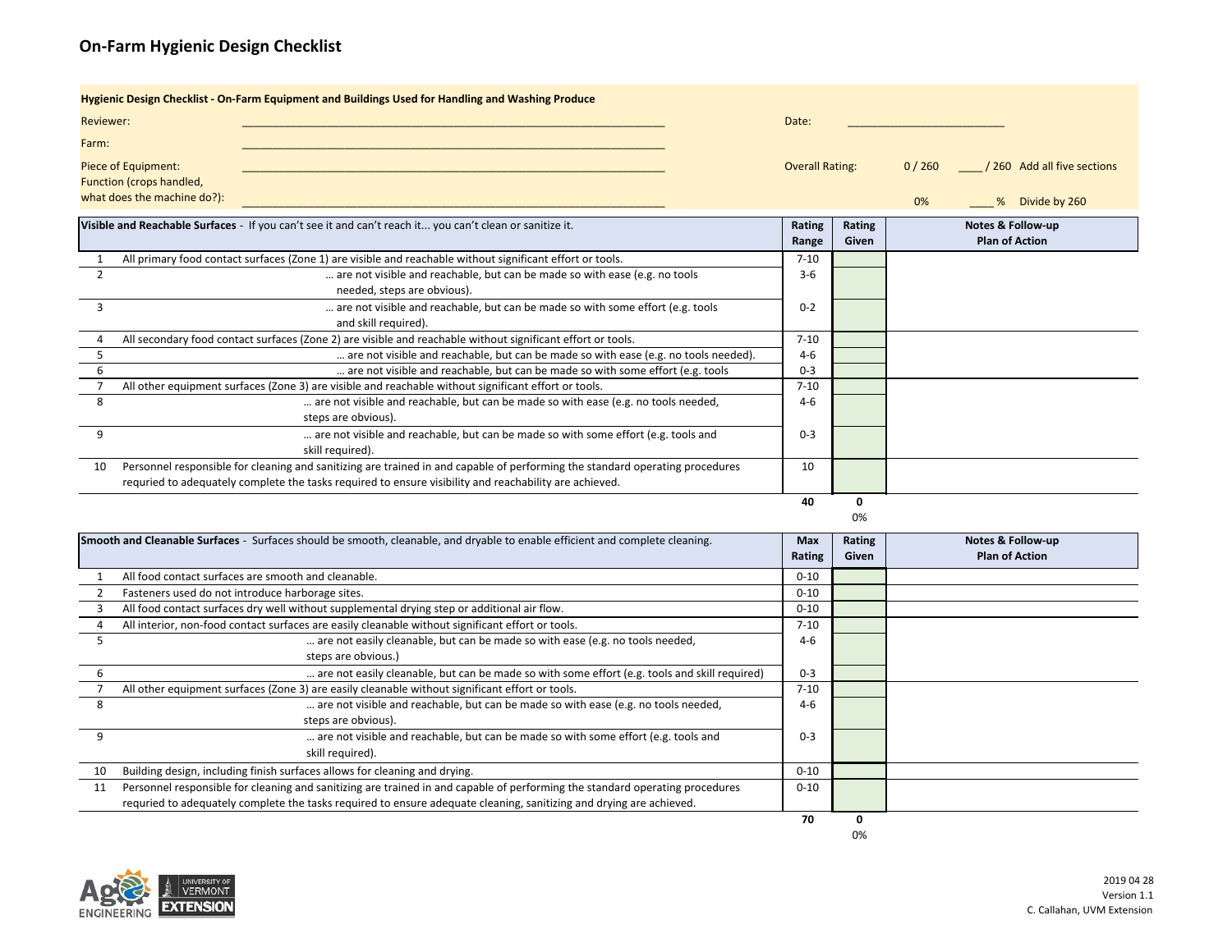## **On‐Farm Hygienic Design Checklist**

| Hygienic Design Checklist - On-Farm Equipment and Buildings Used for Handling and Washing Produce |                                                                                                           |          |                        |    |                             |  |  |
|---------------------------------------------------------------------------------------------------|-----------------------------------------------------------------------------------------------------------|----------|------------------------|----|-----------------------------|--|--|
| <b>Reviewer:</b>                                                                                  |                                                                                                           | Date:    |                        |    |                             |  |  |
| Farm:                                                                                             |                                                                                                           |          |                        |    |                             |  |  |
| Piece of Equipment:                                                                               |                                                                                                           |          | <b>Overall Rating:</b> |    | / 260 Add all five sections |  |  |
| <b>Function (crops handled,</b>                                                                   |                                                                                                           |          |                        |    |                             |  |  |
| what does the machine do?):                                                                       |                                                                                                           |          |                        | 0% | Divide by 260<br>%          |  |  |
|                                                                                                   | Visible and Reachable Surfaces - If you can't see it and can't reach it you can't clean or sanitize it.   | Rating   | Rating                 |    | Notes & Follow-up           |  |  |
|                                                                                                   |                                                                                                           | Range    | Given                  |    | <b>Plan of Action</b>       |  |  |
|                                                                                                   | All primary food contact surfaces (Zone 1) are visible and reachable without significant effort or tools. | $7 - 10$ |                        |    |                             |  |  |
|                                                                                                   | are not visible and reachable, but can be made so with ease (e.g. no tools                                | $3 - 6$  |                        |    |                             |  |  |
|                                                                                                   | needed, steps are obvious).                                                                               |          |                        |    |                             |  |  |

|    | needed, steps are obvious).                                                                                                  |         |  |
|----|------------------------------------------------------------------------------------------------------------------------------|---------|--|
|    | are not visible and reachable, but can be made so with some effort (e.g. tools                                               | $0 - 2$ |  |
|    | and skill required).                                                                                                         |         |  |
|    | All secondary food contact surfaces (Zone 2) are visible and reachable without significant effort or tools.                  | 7-10    |  |
|    | are not visible and reachable, but can be made so with ease (e.g. no tools needed).                                          | $4-6$   |  |
|    | are not visible and reachable, but can be made so with some effort (e.g. tools                                               | $0 - 3$ |  |
|    | All other equipment surfaces (Zone 3) are visible and reachable without significant effort or tools.                         | 7-10    |  |
|    | are not visible and reachable, but can be made so with ease (e.g. no tools needed,                                           | 4-6     |  |
|    | steps are obvious).                                                                                                          |         |  |
|    | are not visible and reachable, but can be made so with some effort (e.g. tools and                                           | $0 - 3$ |  |
|    | skill required).                                                                                                             |         |  |
| 10 | Personnel responsible for cleaning and sanitizing are trained in and capable of performing the standard operating procedures | 10      |  |
|    | requried to adequately complete the tasks required to ensure visibility and reachability are achieved.                       |         |  |
|    |                                                                                                                              | 40      |  |



| Smooth and Cleanable Surfaces - Surfaces should be smooth, cleanable, and dryable to enable efficient and complete cleaning. |                                                                                                                              | <b>Max</b><br>Rating | Rating<br>Given | Notes & Follow-up<br><b>Plan of Action</b> |
|------------------------------------------------------------------------------------------------------------------------------|------------------------------------------------------------------------------------------------------------------------------|----------------------|-----------------|--------------------------------------------|
|                                                                                                                              | All food contact surfaces are smooth and cleanable.                                                                          | $0 - 10$             |                 |                                            |
|                                                                                                                              | Fasteners used do not introduce harborage sites.                                                                             | $0 - 10$             |                 |                                            |
|                                                                                                                              | All food contact surfaces dry well without supplemental drying step or additional air flow.                                  | $0 - 10$             |                 |                                            |
|                                                                                                                              | All interior, non-food contact surfaces are easily cleanable without significant effort or tools.                            | $7 - 10$             |                 |                                            |
|                                                                                                                              | are not easily cleanable, but can be made so with ease (e.g. no tools needed,                                                | $4-6$                |                 |                                            |
|                                                                                                                              | steps are obvious.)                                                                                                          |                      |                 |                                            |
|                                                                                                                              | are not easily cleanable, but can be made so with some effort (e.g. tools and skill required)                                | $0 - 3$              |                 |                                            |
|                                                                                                                              | All other equipment surfaces (Zone 3) are easily cleanable without significant effort or tools.                              | $7 - 10$             |                 |                                            |
| 8                                                                                                                            | are not visible and reachable, but can be made so with ease (e.g. no tools needed,                                           | $4-6$                |                 |                                            |
|                                                                                                                              | steps are obvious).                                                                                                          |                      |                 |                                            |
|                                                                                                                              | are not visible and reachable, but can be made so with some effort (e.g. tools and                                           | $0 - 3$              |                 |                                            |
|                                                                                                                              | skill required).                                                                                                             |                      |                 |                                            |
| 10                                                                                                                           | Building design, including finish surfaces allows for cleaning and drying.                                                   | $0 - 10$             |                 |                                            |
| 11                                                                                                                           | Personnel responsible for cleaning and sanitizing are trained in and capable of performing the standard operating procedures | $0 - 10$             |                 |                                            |
|                                                                                                                              | requried to adequately complete the tasks required to ensure adequate cleaning, sanitizing and drying are achieved.          |                      |                 |                                            |
|                                                                                                                              |                                                                                                                              | 70                   |                 |                                            |